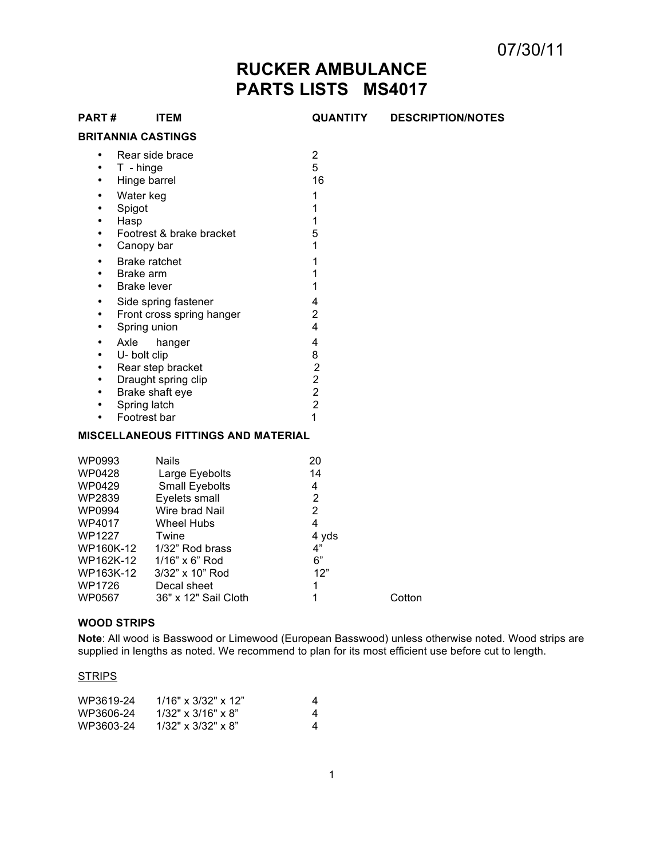07/30/11

# **RUCKER AMBULANCE PARTS LISTS MS4017**

| <b>PART#</b>                                                                                                                                                          | <b>ITEM</b>                                                                                                                                                                                                                           | QUANTITY                                                                                                                | <b>DESCRIPTION/NOTES</b> |
|-----------------------------------------------------------------------------------------------------------------------------------------------------------------------|---------------------------------------------------------------------------------------------------------------------------------------------------------------------------------------------------------------------------------------|-------------------------------------------------------------------------------------------------------------------------|--------------------------|
|                                                                                                                                                                       | <b>BRITANNIA CASTINGS</b>                                                                                                                                                                                                             |                                                                                                                         |                          |
| $\bullet$<br>$\bullet$<br>$\bullet$<br>$\bullet$<br>$\bullet$<br>$\bullet$<br>$\bullet$<br>$\bullet$<br>$\bullet$<br>$\bullet$<br>$\bullet$<br>$\bullet$<br>$\bullet$ | Rear side brace<br>T - hinge<br>Hinge barrel<br>Water keg<br>Spigot<br>Hasp<br>Footrest & brake bracket<br>Canopy bar<br><b>Brake ratchet</b><br>Brake arm<br><b>Brake lever</b><br>Side spring fastener<br>Front cross spring hanger | $\overline{2}$<br>5<br>16<br>1<br>1<br>1<br>5<br>1<br>1<br>1<br>1<br>4<br>$\overline{2}$                                |                          |
| $\bullet$<br>$\bullet$<br>$\bullet$<br>$\bullet$<br>$\bullet$<br>$\bullet$<br>$\bullet$<br>$\bullet$                                                                  | Spring union<br>Axle<br>hanger<br>U- bolt clip<br>Rear step bracket<br>Draught spring clip<br>Brake shaft eye<br>Spring latch<br>Footrest bar<br><b>MISCELLANEOUS FITTINGS AND MATERIAL</b>                                           | 4<br>$\overline{\mathbf{4}}$<br>8<br>$\overline{\mathbf{c}}$<br>$\overline{2}$<br>$\overline{2}$<br>$\overline{2}$<br>1 |                          |
| WP0993<br>WP0428<br>WP0429<br>WP2839<br>WP0994<br>WP4017<br><b>WP1227</b><br>WP163K-12                                                                                | <b>Nails</b><br>Large Eyebolts<br>Small Eyebolts<br>Eyelets small<br>Wire brad Nail<br><b>Wheel Hubs</b><br>Twine<br>WP160K-12 1/32" Rod brass<br>WP162K-12 1/16" x 6" Rod<br>3/32" x 10" Rod                                         | 20<br>14<br>4<br>$\overline{2}$<br>$\overline{2}$<br>$\overline{4}$<br>4 yds<br>4"<br>6"<br>12"                         |                          |

## **WOOD STRIPS**

**Note**: All wood is Basswood or Limewood (European Basswood) unless otherwise noted. Wood strips are supplied in lengths as noted. We recommend to plan for its most efficient use before cut to length.

36" x 12" Sail Cloth 1 Cotton

#### **STRIPS**

| WP3619-24 | $1/16" \times 3/32" \times 12"$ | 4 |
|-----------|---------------------------------|---|
| WP3606-24 | $1/32$ " x $3/16$ " x $8$ "     | 4 |
| WP3603-24 | $1/32$ " x $3/32$ " x $8$ "     | 4 |

WP1726 Decal sheet 1<br>WP0567 36" x 12" Sail Cloth 1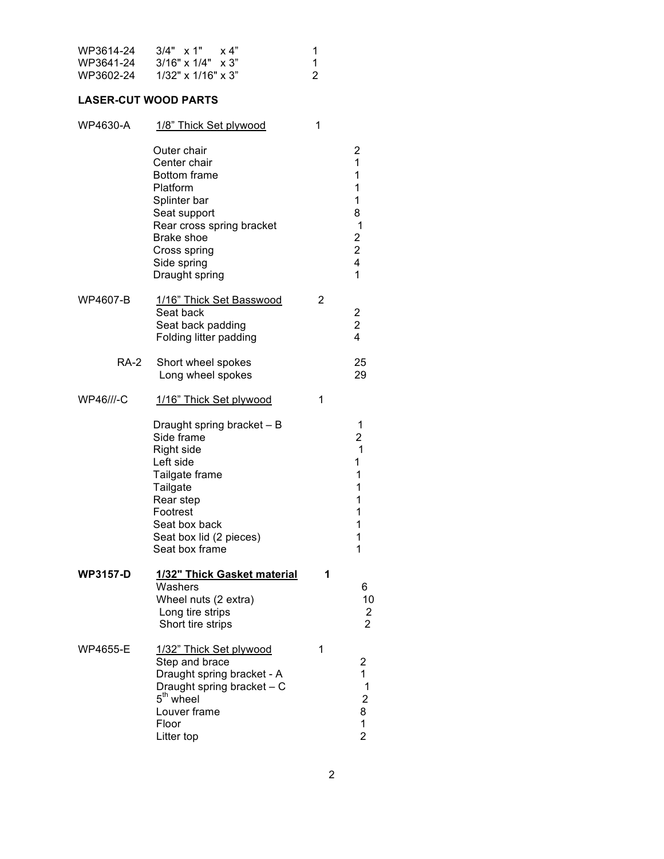| WP3614-24 | $3/4"$ x 1" x 4"              |   |
|-----------|-------------------------------|---|
| WP3641-24 | $3/16" \times 1/4" \times 3"$ |   |
| WP3602-24 | $1/32$ " x $1/16$ " x $3$ "   | 2 |

## **LASER-CUT WOOD PARTS**

| WP4630-A        | 1/8" Thick Set plywood                                                                                                                                                                          | 1 |                                                                            |
|-----------------|-------------------------------------------------------------------------------------------------------------------------------------------------------------------------------------------------|---|----------------------------------------------------------------------------|
|                 | Outer chair<br>Center chair<br><b>Bottom frame</b><br>Platform<br>Splinter bar<br>Seat support<br>Rear cross spring bracket<br>Brake shoe<br>Cross spring<br>Side spring<br>Draught spring      |   | 2<br>1<br>1<br>1<br>1<br>8<br>$\mathbf 1$<br>2<br>$\overline{c}$<br>4<br>1 |
| WP4607-B        | 1/16" Thick Set Basswood<br>Seat back<br>Seat back padding<br>Folding litter padding                                                                                                            | 2 | 2<br>$\overline{\mathbf{c}}$<br>4                                          |
| <b>RA-2</b>     | Short wheel spokes<br>Long wheel spokes                                                                                                                                                         |   | 25<br>29                                                                   |
| WP46///-C       | 1/16" Thick Set plywood                                                                                                                                                                         | 1 |                                                                            |
|                 | Draught spring bracket - B<br>Side frame<br><b>Right side</b><br>Left side<br>Tailgate frame<br>Tailgate<br>Rear step<br>Footrest<br>Seat box back<br>Seat box lid (2 pieces)<br>Seat box frame |   | 1<br>2<br>1<br>1<br>1<br>1<br>1<br>1<br>1<br>1<br>1                        |
| <b>WP3157-D</b> | 1/32" Thick Gasket material<br>Washers<br>Wheel nuts (2 extra)<br>Long tire strips<br>Short tire strips                                                                                         | 1 | 6<br>10<br>$\overline{\mathbf{c}}$<br>$\overline{2}$                       |
| <b>WP4655-E</b> | 1/32" Thick Set plywood<br>Step and brace<br>Draught spring bracket - A<br>Draught spring bracket - C<br>5 <sup>th</sup> wheel<br>Louver frame<br>Floor<br>Litter top                           | 1 | 2<br>1<br>1<br>2<br>8<br>$\mathbf{1}$<br>$\overline{2}$                    |